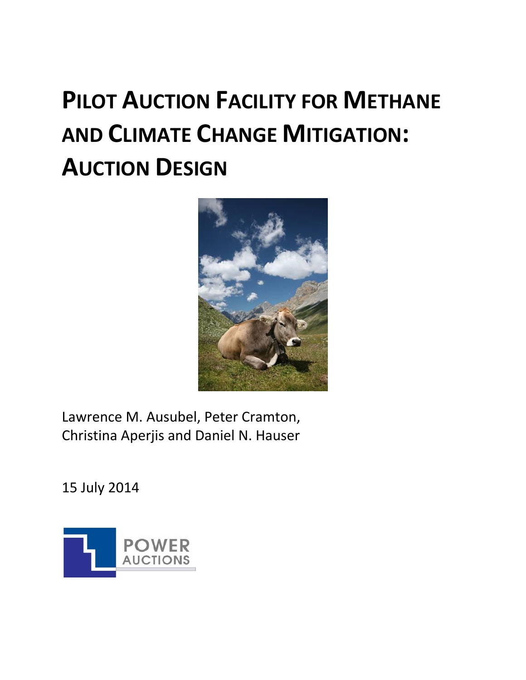# **PILOT AUCTION FACILITY FOR METHANE AND CLIMATE CHANGE MITIGATION: AUCTION DESIGN**



Lawrence M. Ausubel, Peter Cramton, Christina Aperjis and Daniel N. Hauser

15 July 2014

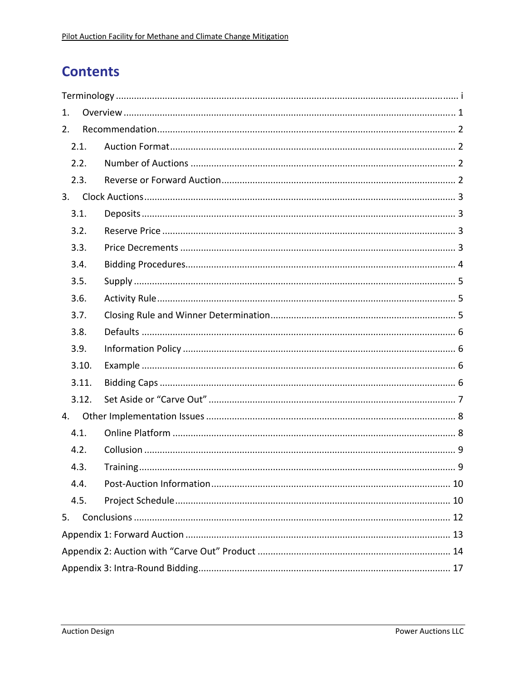# **Contents**

| 1. |       |  |  |  |  |  |  |  |
|----|-------|--|--|--|--|--|--|--|
| 2. |       |  |  |  |  |  |  |  |
|    | 2.1.  |  |  |  |  |  |  |  |
|    | 2.2.  |  |  |  |  |  |  |  |
|    | 2.3.  |  |  |  |  |  |  |  |
| 3. |       |  |  |  |  |  |  |  |
|    | 3.1.  |  |  |  |  |  |  |  |
|    | 3.2.  |  |  |  |  |  |  |  |
|    | 3.3.  |  |  |  |  |  |  |  |
|    | 3.4.  |  |  |  |  |  |  |  |
|    | 3.5.  |  |  |  |  |  |  |  |
|    | 3.6.  |  |  |  |  |  |  |  |
|    | 3.7.  |  |  |  |  |  |  |  |
|    | 3.8.  |  |  |  |  |  |  |  |
|    | 3.9.  |  |  |  |  |  |  |  |
|    | 3.10. |  |  |  |  |  |  |  |
|    | 3.11. |  |  |  |  |  |  |  |
|    | 3.12. |  |  |  |  |  |  |  |
| 4. |       |  |  |  |  |  |  |  |
|    | 4.1.  |  |  |  |  |  |  |  |
|    | 4.2.  |  |  |  |  |  |  |  |
|    | 4.3.  |  |  |  |  |  |  |  |
|    | 4.4.  |  |  |  |  |  |  |  |
|    | 4.5.  |  |  |  |  |  |  |  |
| 5. |       |  |  |  |  |  |  |  |
|    |       |  |  |  |  |  |  |  |
|    |       |  |  |  |  |  |  |  |
|    |       |  |  |  |  |  |  |  |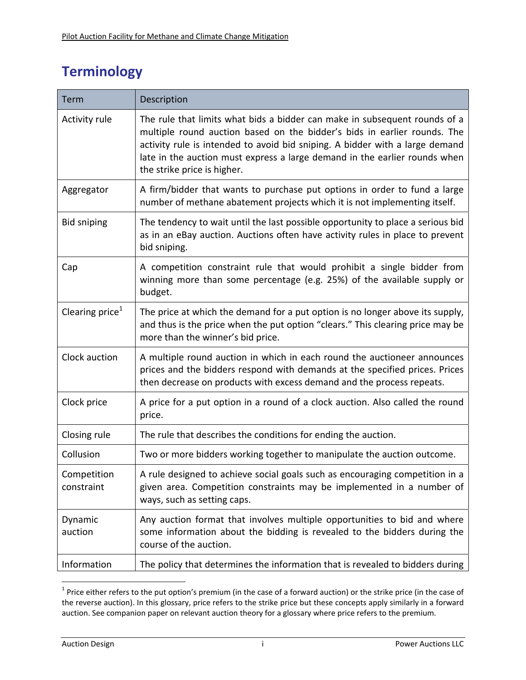# **Terminology**

| Term                        | Description                                                                                                                                                                                                                                                                                                                                         |
|-----------------------------|-----------------------------------------------------------------------------------------------------------------------------------------------------------------------------------------------------------------------------------------------------------------------------------------------------------------------------------------------------|
| Activity rule               | The rule that limits what bids a bidder can make in subsequent rounds of a<br>multiple round auction based on the bidder's bids in earlier rounds. The<br>activity rule is intended to avoid bid sniping. A bidder with a large demand<br>late in the auction must express a large demand in the earlier rounds when<br>the strike price is higher. |
| Aggregator                  | A firm/bidder that wants to purchase put options in order to fund a large<br>number of methane abatement projects which it is not implementing itself.                                                                                                                                                                                              |
| <b>Bid sniping</b>          | The tendency to wait until the last possible opportunity to place a serious bid<br>as in an eBay auction. Auctions often have activity rules in place to prevent<br>bid sniping.                                                                                                                                                                    |
| Cap                         | A competition constraint rule that would prohibit a single bidder from<br>winning more than some percentage (e.g. 25%) of the available supply or<br>budget.                                                                                                                                                                                        |
| Clearing price <sup>1</sup> | The price at which the demand for a put option is no longer above its supply,<br>and thus is the price when the put option "clears." This clearing price may be<br>more than the winner's bid price.                                                                                                                                                |
| Clock auction               | A multiple round auction in which in each round the auctioneer announces<br>prices and the bidders respond with demands at the specified prices. Prices<br>then decrease on products with excess demand and the process repeats.                                                                                                                    |
| Clock price                 | A price for a put option in a round of a clock auction. Also called the round<br>price.                                                                                                                                                                                                                                                             |
| Closing rule                | The rule that describes the conditions for ending the auction.                                                                                                                                                                                                                                                                                      |
| Collusion                   | Two or more bidders working together to manipulate the auction outcome.                                                                                                                                                                                                                                                                             |
| Competition<br>constraint   | A rule designed to achieve social goals such as encouraging competition in a<br>given area. Competition constraints may be implemented in a number of<br>ways, such as setting caps.                                                                                                                                                                |
| Dynamic<br>auction          | Any auction format that involves multiple opportunities to bid and where<br>some information about the bidding is revealed to the bidders during the<br>course of the auction.                                                                                                                                                                      |
| Information                 | The policy that determines the information that is revealed to bidders during                                                                                                                                                                                                                                                                       |

<sup>&</sup>lt;sup>1</sup> Price either refers to the put option's premium (in the case of a forward auction) or the strike price (in the case of the reverse auction). In this glossary, price refers to the strike price but these concepts apply similarly in a forward auction. See companion paper on relevant auction theory for a glossary where price refers to the premium.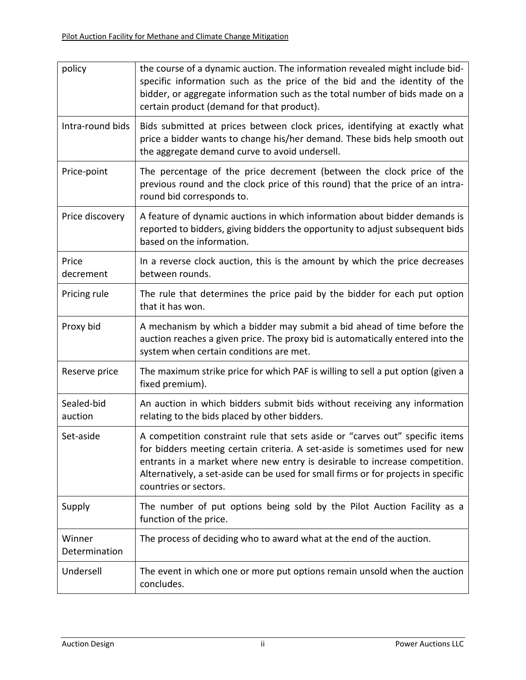| policy                  | the course of a dynamic auction. The information revealed might include bid-<br>specific information such as the price of the bid and the identity of the<br>bidder, or aggregate information such as the total number of bids made on a<br>certain product (demand for that product).                                                                   |
|-------------------------|----------------------------------------------------------------------------------------------------------------------------------------------------------------------------------------------------------------------------------------------------------------------------------------------------------------------------------------------------------|
| Intra-round bids        | Bids submitted at prices between clock prices, identifying at exactly what<br>price a bidder wants to change his/her demand. These bids help smooth out<br>the aggregate demand curve to avoid undersell.                                                                                                                                                |
| Price-point             | The percentage of the price decrement (between the clock price of the<br>previous round and the clock price of this round) that the price of an intra-<br>round bid corresponds to.                                                                                                                                                                      |
| Price discovery         | A feature of dynamic auctions in which information about bidder demands is<br>reported to bidders, giving bidders the opportunity to adjust subsequent bids<br>based on the information.                                                                                                                                                                 |
| Price<br>decrement      | In a reverse clock auction, this is the amount by which the price decreases<br>between rounds.                                                                                                                                                                                                                                                           |
| Pricing rule            | The rule that determines the price paid by the bidder for each put option<br>that it has won.                                                                                                                                                                                                                                                            |
| Proxy bid               | A mechanism by which a bidder may submit a bid ahead of time before the<br>auction reaches a given price. The proxy bid is automatically entered into the<br>system when certain conditions are met.                                                                                                                                                     |
| Reserve price           | The maximum strike price for which PAF is willing to sell a put option (given a<br>fixed premium).                                                                                                                                                                                                                                                       |
| Sealed-bid<br>auction   | An auction in which bidders submit bids without receiving any information<br>relating to the bids placed by other bidders.                                                                                                                                                                                                                               |
| Set-aside               | A competition constraint rule that sets aside or "carves out" specific items<br>for bidders meeting certain criteria. A set-aside is sometimes used for new<br>entrants in a market where new entry is desirable to increase competition.<br>Alternatively, a set-aside can be used for small firms or for projects in specific<br>countries or sectors. |
| Supply                  | The number of put options being sold by the Pilot Auction Facility as a<br>function of the price.                                                                                                                                                                                                                                                        |
| Winner<br>Determination | The process of deciding who to award what at the end of the auction.                                                                                                                                                                                                                                                                                     |
| Undersell               | The event in which one or more put options remain unsold when the auction<br>concludes.                                                                                                                                                                                                                                                                  |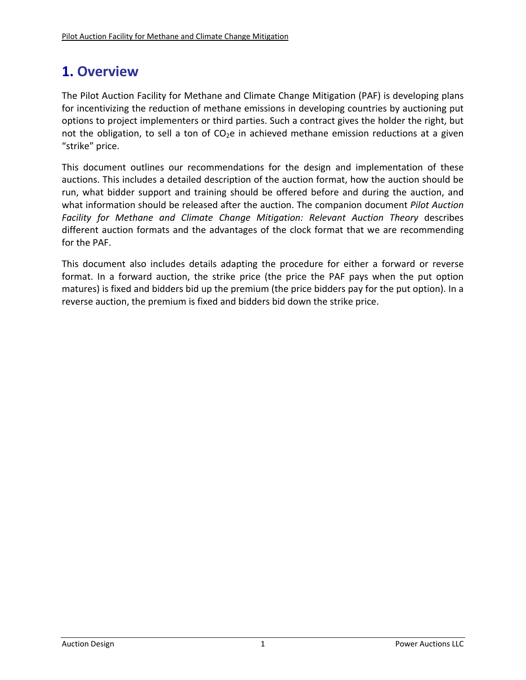# **1. Overview**

The Pilot Auction Facility for Methane and Climate Change Mitigation (PAF) is developing plans for incentivizing the reduction of methane emissions in developing countries by auctioning put options to project implementers or third parties. Such a contract gives the holder the right, but not the obligation, to sell a ton of  $CO<sub>2</sub>e$  in achieved methane emission reductions at a given "strike" price.

This document outlines our recommendations for the design and implementation of these auctions. This includes a detailed description of the auction format, how the auction should be run, what bidder support and training should be offered before and during the auction, and what information should be released after the auction. The companion document *Pilot Auction Facility for Methane and Climate Change Mitigation: Relevant Auction Theory* describes different auction formats and the advantages of the clock format that we are recommending for the PAF.

This document also includes details adapting the procedure for either a forward or reverse format. In a forward auction, the strike price (the price the PAF pays when the put option matures) is fixed and bidders bid up the premium (the price bidders pay for the put option). In a reverse auction, the premium is fixed and bidders bid down the strike price.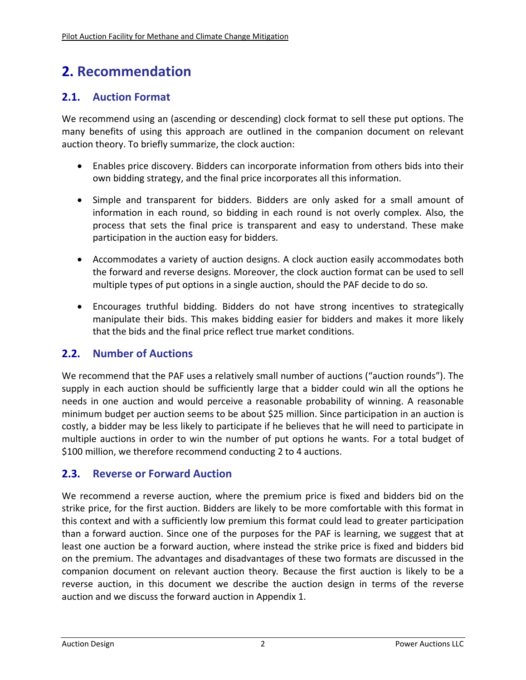# **2. Recommendation**

# **2.1. Auction Format**

We recommend using an (ascending or descending) clock format to sell these put options. The many benefits of using this approach are outlined in the companion document on relevant auction theory. To briefly summarize, the clock auction:

- Enables price discovery. Bidders can incorporate information from others bids into their own bidding strategy, and the final price incorporates all this information.
- Simple and transparent for bidders. Bidders are only asked for a small amount of information in each round, so bidding in each round is not overly complex. Also, the process that sets the final price is transparent and easy to understand. These make participation in the auction easy for bidders.
- Accommodates a variety of auction designs. A clock auction easily accommodates both the forward and reverse designs. Moreover, the clock auction format can be used to sell multiple types of put options in a single auction, should the PAF decide to do so.
- Encourages truthful bidding. Bidders do not have strong incentives to strategically manipulate their bids. This makes bidding easier for bidders and makes it more likely that the bids and the final price reflect true market conditions.

# **2.2. Number of Auctions**

We recommend that the PAF uses a relatively small number of auctions ("auction rounds"). The supply in each auction should be sufficiently large that a bidder could win all the options he needs in one auction and would perceive a reasonable probability of winning. A reasonable minimum budget per auction seems to be about \$25 million. Since participation in an auction is costly, a bidder may be less likely to participate if he believes that he will need to participate in multiple auctions in order to win the number of put options he wants. For a total budget of \$100 million, we therefore recommend conducting 2 to 4 auctions.

## **2.3. Reverse or Forward Auction**

We recommend a reverse auction, where the premium price is fixed and bidders bid on the strike price, for the first auction. Bidders are likely to be more comfortable with this format in this context and with a sufficiently low premium this format could lead to greater participation than a forward auction. Since one of the purposes for the PAF is learning, we suggest that at least one auction be a forward auction, where instead the strike price is fixed and bidders bid on the premium. The advantages and disadvantages of these two formats are discussed in the companion document on relevant auction theory*.* Because the first auction is likely to be a reverse auction, in this document we describe the auction design in terms of the reverse auction and we discuss the forward auction in Appendix 1.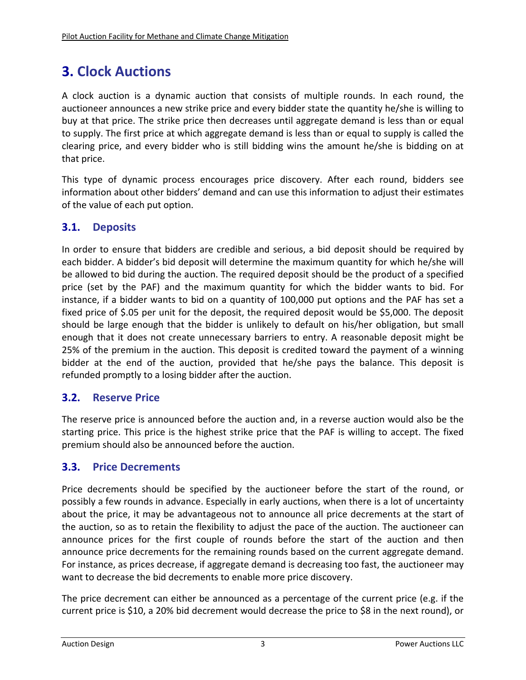# **3. Clock Auctions**

A clock auction is a dynamic auction that consists of multiple rounds. In each round, the auctioneer announces a new strike price and every bidder state the quantity he/she is willing to buy at that price. The strike price then decreases until aggregate demand is less than or equal to supply. The first price at which aggregate demand is less than or equal to supply is called the clearing price, and every bidder who is still bidding wins the amount he/she is bidding on at that price.

This type of dynamic process encourages price discovery. After each round, bidders see information about other bidders' demand and can use this information to adjust their estimates of the value of each put option.

# **3.1. Deposits**

In order to ensure that bidders are credible and serious, a bid deposit should be required by each bidder. A bidder's bid deposit will determine the maximum quantity for which he/she will be allowed to bid during the auction. The required deposit should be the product of a specified price (set by the PAF) and the maximum quantity for which the bidder wants to bid. For instance, if a bidder wants to bid on a quantity of 100,000 put options and the PAF has set a fixed price of \$.05 per unit for the deposit, the required deposit would be \$5,000. The deposit should be large enough that the bidder is unlikely to default on his/her obligation, but small enough that it does not create unnecessary barriers to entry. A reasonable deposit might be 25% of the premium in the auction. This deposit is credited toward the payment of a winning bidder at the end of the auction, provided that he/she pays the balance. This deposit is refunded promptly to a losing bidder after the auction.

## **3.2. Reserve Price**

The reserve price is announced before the auction and, in a reverse auction would also be the starting price. This price is the highest strike price that the PAF is willing to accept. The fixed premium should also be announced before the auction.

## **3.3. Price Decrements**

Price decrements should be specified by the auctioneer before the start of the round, or possibly a few rounds in advance. Especially in early auctions, when there is a lot of uncertainty about the price, it may be advantageous not to announce all price decrements at the start of the auction, so as to retain the flexibility to adjust the pace of the auction. The auctioneer can announce prices for the first couple of rounds before the start of the auction and then announce price decrements for the remaining rounds based on the current aggregate demand. For instance, as prices decrease, if aggregate demand is decreasing too fast, the auctioneer may want to decrease the bid decrements to enable more price discovery.

The price decrement can either be announced as a percentage of the current price (e.g. if the current price is \$10, a 20% bid decrement would decrease the price to \$8 in the next round), or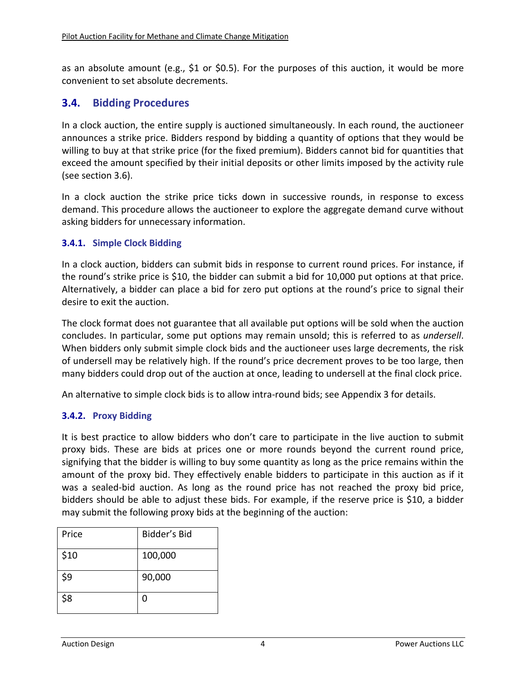as an absolute amount (e.g., \$1 or \$0.5). For the purposes of this auction, it would be more convenient to set absolute decrements.

### **3.4. Bidding Procedures**

In a clock auction, the entire supply is auctioned simultaneously. In each round, the auctioneer announces a strike price. Bidders respond by bidding a quantity of options that they would be willing to buy at that strike price (for the fixed premium). Bidders cannot bid for quantities that exceed the amount specified by their initial deposits or other limits imposed by the activity rule (see section 3.6).

In a clock auction the strike price ticks down in successive rounds, in response to excess demand. This procedure allows the auctioneer to explore the aggregate demand curve without asking bidders for unnecessary information.

#### **3.4.1. Simple Clock Bidding**

In a clock auction, bidders can submit bids in response to current round prices. For instance, if the round's strike price is \$10, the bidder can submit a bid for 10,000 put options at that price. Alternatively, a bidder can place a bid for zero put options at the round's price to signal their desire to exit the auction.

The clock format does not guarantee that all available put options will be sold when the auction concludes. In particular, some put options may remain unsold; this is referred to as *undersell*. When bidders only submit simple clock bids and the auctioneer uses large decrements, the risk of undersell may be relatively high. If the round's price decrement proves to be too large, then many bidders could drop out of the auction at once, leading to undersell at the final clock price.

An alternative to simple clock bids is to allow intra‐round bids; see Appendix 3 for details.

#### **3.4.2. Proxy Bidding**

It is best practice to allow bidders who don't care to participate in the live auction to submit proxy bids. These are bids at prices one or more rounds beyond the current round price, signifying that the bidder is willing to buy some quantity as long as the price remains within the amount of the proxy bid. They effectively enable bidders to participate in this auction as if it was a sealed‐bid auction. As long as the round price has not reached the proxy bid price, bidders should be able to adjust these bids. For example, if the reserve price is \$10, a bidder may submit the following proxy bids at the beginning of the auction:

| Price | Bidder's Bid |
|-------|--------------|
| \$10  | 100,000      |
| \$9   | 90,000       |
| \$8   | U            |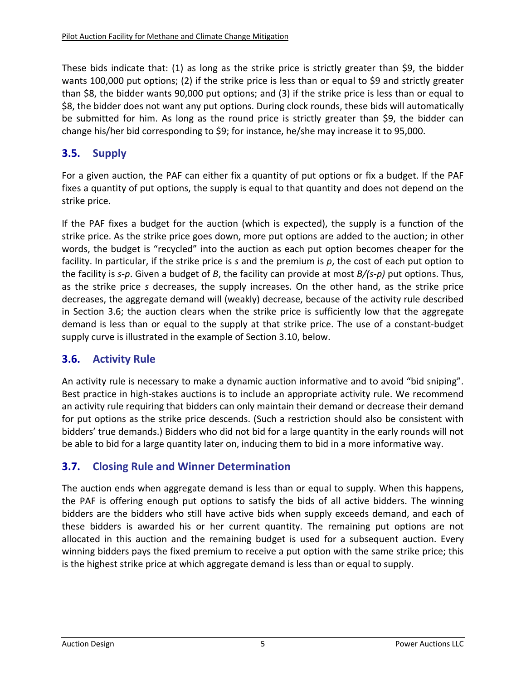These bids indicate that: (1) as long as the strike price is strictly greater than \$9, the bidder wants 100,000 put options; (2) if the strike price is less than or equal to \$9 and strictly greater than \$8, the bidder wants 90,000 put options; and (3) if the strike price is less than or equal to \$8, the bidder does not want any put options. During clock rounds, these bids will automatically be submitted for him. As long as the round price is strictly greater than \$9, the bidder can change his/her bid corresponding to \$9; for instance, he/she may increase it to 95,000.

## **3.5. Supply**

For a given auction, the PAF can either fix a quantity of put options or fix a budget. If the PAF fixes a quantity of put options, the supply is equal to that quantity and does not depend on the strike price.

If the PAF fixes a budget for the auction (which is expected), the supply is a function of the strike price. As the strike price goes down, more put options are added to the auction; in other words, the budget is "recycled" into the auction as each put option becomes cheaper for the facility. In particular, if the strike price is *s* and the premium is *p*, the cost of each put option to the facility is *s‐p*. Given a budget of *B*, the facility can provide at most *B/(s‐p)* put options. Thus, as the strike price *s* decreases, the supply increases. On the other hand, as the strike price decreases, the aggregate demand will (weakly) decrease, because of the activity rule described in Section 3.6; the auction clears when the strike price is sufficiently low that the aggregate demand is less than or equal to the supply at that strike price. The use of a constant‐budget supply curve is illustrated in the example of Section 3.10, below.

## **3.6. Activity Rule**

An activity rule is necessary to make a dynamic auction informative and to avoid "bid sniping". Best practice in high‐stakes auctions is to include an appropriate activity rule. We recommend an activity rule requiring that bidders can only maintain their demand or decrease their demand for put options as the strike price descends. (Such a restriction should also be consistent with bidders' true demands.) Bidders who did not bid for a large quantity in the early rounds will not be able to bid for a large quantity later on, inducing them to bid in a more informative way.

## **3.7. Closing Rule and Winner Determination**

The auction ends when aggregate demand is less than or equal to supply. When this happens, the PAF is offering enough put options to satisfy the bids of all active bidders. The winning bidders are the bidders who still have active bids when supply exceeds demand, and each of these bidders is awarded his or her current quantity. The remaining put options are not allocated in this auction and the remaining budget is used for a subsequent auction. Every winning bidders pays the fixed premium to receive a put option with the same strike price; this is the highest strike price at which aggregate demand is less than or equal to supply.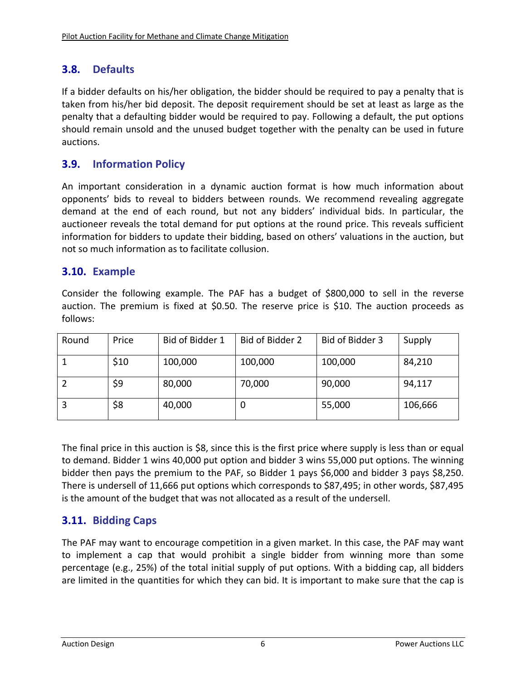# **3.8. Defaults**

If a bidder defaults on his/her obligation, the bidder should be required to pay a penalty that is taken from his/her bid deposit. The deposit requirement should be set at least as large as the penalty that a defaulting bidder would be required to pay. Following a default, the put options should remain unsold and the unused budget together with the penalty can be used in future auctions.

# **3.9. Information Policy**

An important consideration in a dynamic auction format is how much information about opponents' bids to reveal to bidders between rounds. We recommend revealing aggregate demand at the end of each round, but not any bidders' individual bids. In particular, the auctioneer reveals the total demand for put options at the round price. This reveals sufficient information for bidders to update their bidding, based on others' valuations in the auction, but not so much information as to facilitate collusion.

### **3.10. Example**

Consider the following example. The PAF has a budget of \$800,000 to sell in the reverse auction. The premium is fixed at \$0.50. The reserve price is \$10. The auction proceeds as follows:

| Round | Price | Bid of Bidder 1 | Bid of Bidder 2 | Bid of Bidder 3 | Supply  |
|-------|-------|-----------------|-----------------|-----------------|---------|
|       | \$10  | 100,000         | 100,000         | 100,000         | 84,210  |
|       | \$9   | 80,000          | 70,000          | 90,000          | 94,117  |
|       | \$8   | 40,000          | U               | 55,000          | 106,666 |

The final price in this auction is \$8, since this is the first price where supply is less than or equal to demand. Bidder 1 wins 40,000 put option and bidder 3 wins 55,000 put options. The winning bidder then pays the premium to the PAF, so Bidder 1 pays \$6,000 and bidder 3 pays \$8,250. There is undersell of 11,666 put options which corresponds to \$87,495; in other words, \$87,495 is the amount of the budget that was not allocated as a result of the undersell.

# **3.11. Bidding Caps**

The PAF may want to encourage competition in a given market. In this case, the PAF may want to implement a cap that would prohibit a single bidder from winning more than some percentage (e.g., 25%) of the total initial supply of put options. With a bidding cap, all bidders are limited in the quantities for which they can bid. It is important to make sure that the cap is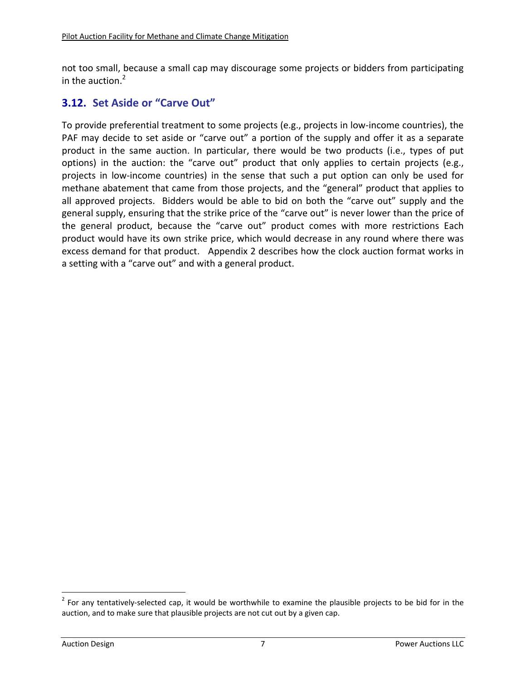not too small, because a small cap may discourage some projects or bidders from participating in the auction. $<sup>2</sup>$ </sup>

# **3.12. Set Aside or "Carve Out"**

To provide preferential treatment to some projects (e.g., projects in low‐income countries), the PAF may decide to set aside or "carve out" a portion of the supply and offer it as a separate product in the same auction. In particular, there would be two products (i.e., types of put options) in the auction: the "carve out" product that only applies to certain projects (e.g., projects in low‐income countries) in the sense that such a put option can only be used for methane abatement that came from those projects, and the "general" product that applies to all approved projects. Bidders would be able to bid on both the "carve out" supply and the general supply, ensuring that the strike price of the "carve out" is never lower than the price of the general product, because the "carve out" product comes with more restrictions Each product would have its own strike price, which would decrease in any round where there was excess demand for that product. Appendix 2 describes how the clock auction format works in a setting with a "carve out" and with a general product.

 $2$  For any tentatively-selected cap, it would be worthwhile to examine the plausible projects to be bid for in the auction, and to make sure that plausible projects are not cut out by a given cap.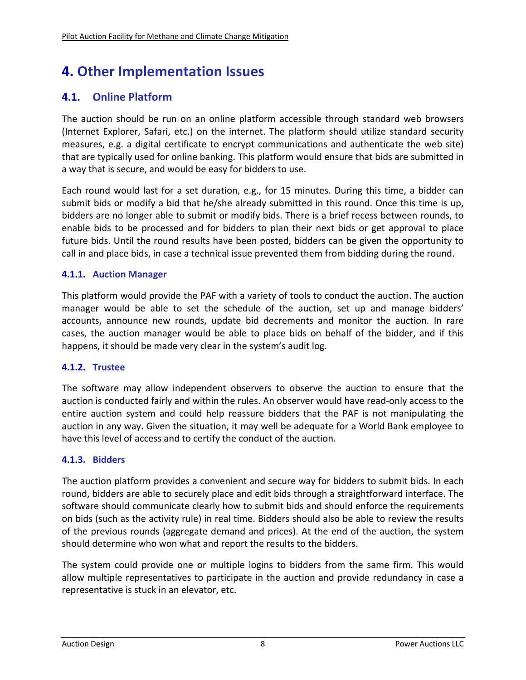# **4. Other Implementation Issues**

# **4.1. Online Platform**

The auction should be run on an online platform accessible through standard web browsers (Internet Explorer, Safari, etc.) on the internet. The platform should utilize standard security measures, e.g. a digital certificate to encrypt communications and authenticate the web site) that are typically used for online banking. This platform would ensure that bids are submitted in a way that is secure, and would be easy for bidders to use.

Each round would last for a set duration, e.g., for 15 minutes. During this time, a bidder can submit bids or modify a bid that he/she already submitted in this round. Once this time is up, bidders are no longer able to submit or modify bids. There is a brief recess between rounds, to enable bids to be processed and for bidders to plan their next bids or get approval to place future bids. Until the round results have been posted, bidders can be given the opportunity to call in and place bids, in case a technical issue prevented them from bidding during the round.

#### **4.1.1. Auction Manager**

This platform would provide the PAF with a variety of tools to conduct the auction. The auction manager would be able to set the schedule of the auction, set up and manage bidders' accounts, announce new rounds, update bid decrements and monitor the auction. In rare cases, the auction manager would be able to place bids on behalf of the bidder, and if this happens, it should be made very clear in the system's audit log.

#### **4.1.2. Trustee**

The software may allow independent observers to observe the auction to ensure that the auction is conducted fairly and within the rules. An observer would have read‐only access to the entire auction system and could help reassure bidders that the PAF is not manipulating the auction in any way. Given the situation, it may well be adequate for a World Bank employee to have this level of access and to certify the conduct of the auction.

#### **4.1.3. Bidders**

The auction platform provides a convenient and secure way for bidders to submit bids. In each round, bidders are able to securely place and edit bids through a straightforward interface. The software should communicate clearly how to submit bids and should enforce the requirements on bids (such as the activity rule) in real time. Bidders should also be able to review the results of the previous rounds (aggregate demand and prices). At the end of the auction, the system should determine who won what and report the results to the bidders.

The system could provide one or multiple logins to bidders from the same firm. This would allow multiple representatives to participate in the auction and provide redundancy in case a representative is stuck in an elevator, etc.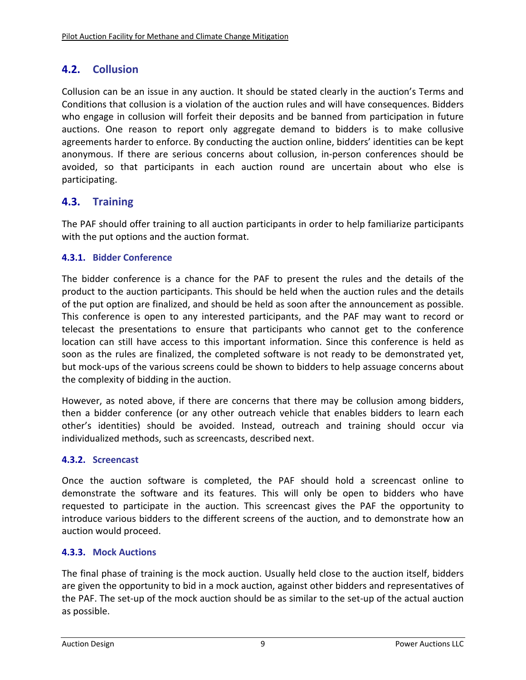# **4.2. Collusion**

Collusion can be an issue in any auction. It should be stated clearly in the auction's Terms and Conditions that collusion is a violation of the auction rules and will have consequences. Bidders who engage in collusion will forfeit their deposits and be banned from participation in future auctions. One reason to report only aggregate demand to bidders is to make collusive agreements harder to enforce. By conducting the auction online, bidders' identities can be kept anonymous. If there are serious concerns about collusion, in‐person conferences should be avoided, so that participants in each auction round are uncertain about who else is participating.

# **4.3. Training**

The PAF should offer training to all auction participants in order to help familiarize participants with the put options and the auction format.

#### **4.3.1. Bidder Conference**

The bidder conference is a chance for the PAF to present the rules and the details of the product to the auction participants. This should be held when the auction rules and the details of the put option are finalized, and should be held as soon after the announcement as possible. This conference is open to any interested participants, and the PAF may want to record or telecast the presentations to ensure that participants who cannot get to the conference location can still have access to this important information. Since this conference is held as soon as the rules are finalized, the completed software is not ready to be demonstrated yet, but mock‐ups of the various screens could be shown to bidders to help assuage concerns about the complexity of bidding in the auction.

However, as noted above, if there are concerns that there may be collusion among bidders, then a bidder conference (or any other outreach vehicle that enables bidders to learn each other's identities) should be avoided. Instead, outreach and training should occur via individualized methods, such as screencasts, described next.

#### **4.3.2. Screencast**

Once the auction software is completed, the PAF should hold a screencast online to demonstrate the software and its features. This will only be open to bidders who have requested to participate in the auction. This screencast gives the PAF the opportunity to introduce various bidders to the different screens of the auction, and to demonstrate how an auction would proceed.

#### **4.3.3. Mock Auctions**

The final phase of training is the mock auction. Usually held close to the auction itself, bidders are given the opportunity to bid in a mock auction, against other bidders and representatives of the PAF. The set‐up of the mock auction should be as similar to the set‐up of the actual auction as possible.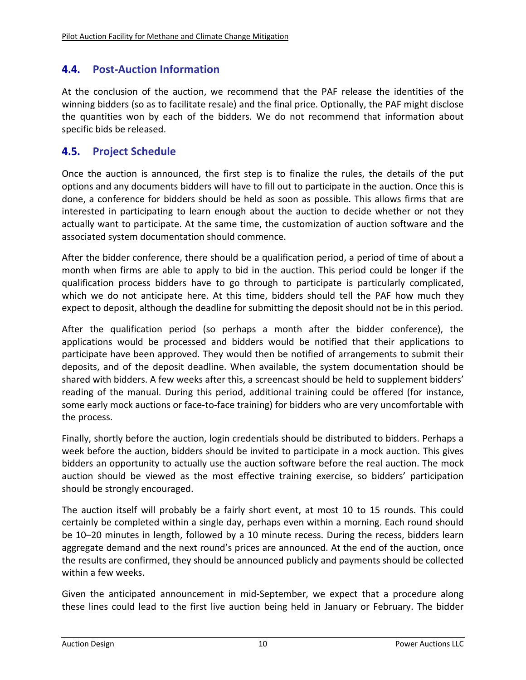# **4.4. Post‐Auction Information**

At the conclusion of the auction, we recommend that the PAF release the identities of the winning bidders (so as to facilitate resale) and the final price. Optionally, the PAF might disclose the quantities won by each of the bidders. We do not recommend that information about specific bids be released.

## **4.5. Project Schedule**

Once the auction is announced, the first step is to finalize the rules, the details of the put options and any documents bidders will have to fill out to participate in the auction. Once this is done, a conference for bidders should be held as soon as possible. This allows firms that are interested in participating to learn enough about the auction to decide whether or not they actually want to participate. At the same time, the customization of auction software and the associated system documentation should commence.

After the bidder conference, there should be a qualification period, a period of time of about a month when firms are able to apply to bid in the auction. This period could be longer if the qualification process bidders have to go through to participate is particularly complicated, which we do not anticipate here. At this time, bidders should tell the PAF how much they expect to deposit, although the deadline for submitting the deposit should not be in this period.

After the qualification period (so perhaps a month after the bidder conference), the applications would be processed and bidders would be notified that their applications to participate have been approved. They would then be notified of arrangements to submit their deposits, and of the deposit deadline. When available, the system documentation should be shared with bidders. A few weeks after this, a screencast should be held to supplement bidders' reading of the manual. During this period, additional training could be offered (for instance, some early mock auctions or face-to-face training) for bidders who are very uncomfortable with the process.

Finally, shortly before the auction, login credentials should be distributed to bidders. Perhaps a week before the auction, bidders should be invited to participate in a mock auction. This gives bidders an opportunity to actually use the auction software before the real auction. The mock auction should be viewed as the most effective training exercise, so bidders' participation should be strongly encouraged.

The auction itself will probably be a fairly short event, at most 10 to 15 rounds. This could certainly be completed within a single day, perhaps even within a morning. Each round should be 10–20 minutes in length, followed by a 10 minute recess. During the recess, bidders learn aggregate demand and the next round's prices are announced. At the end of the auction, once the results are confirmed, they should be announced publicly and payments should be collected within a few weeks.

Given the anticipated announcement in mid‐September, we expect that a procedure along these lines could lead to the first live auction being held in January or February. The bidder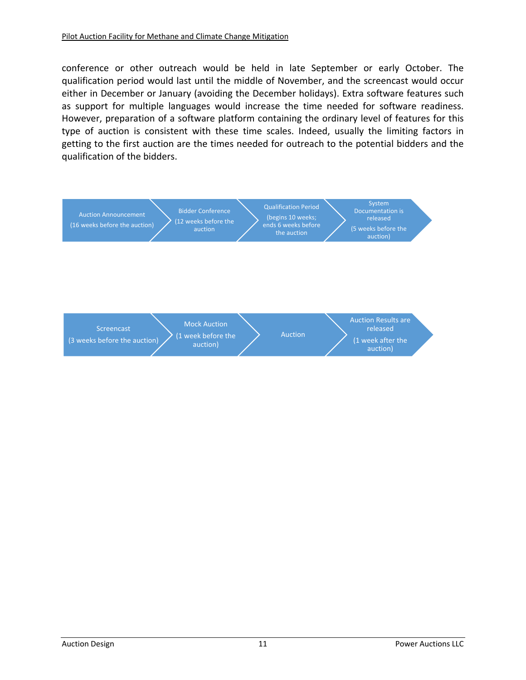conference or other outreach would be held in late September or early October. The qualification period would last until the middle of November, and the screencast would occur either in December or January (avoiding the December holidays). Extra software features such as support for multiple languages would increase the time needed for software readiness. However, preparation of a software platform containing the ordinary level of features for this type of auction is consistent with these time scales. Indeed, usually the limiting factors in getting to the first auction are the times needed for outreach to the potential bidders and the qualification of the bidders.

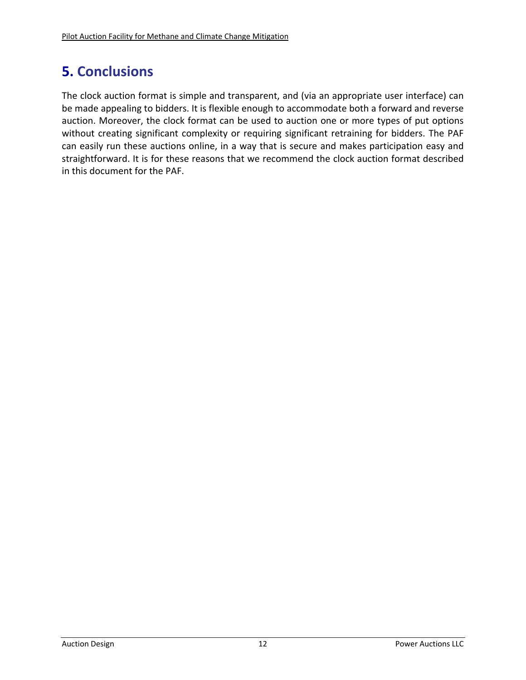# **5. Conclusions**

The clock auction format is simple and transparent, and (via an appropriate user interface) can be made appealing to bidders. It is flexible enough to accommodate both a forward and reverse auction. Moreover, the clock format can be used to auction one or more types of put options without creating significant complexity or requiring significant retraining for bidders. The PAF can easily run these auctions online, in a way that is secure and makes participation easy and straightforward. It is for these reasons that we recommend the clock auction format described in this document for the PAF.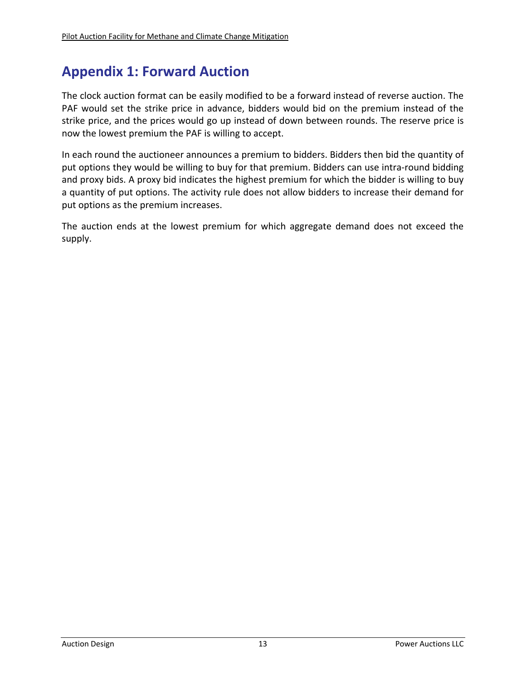# **Appendix 1: Forward Auction**

The clock auction format can be easily modified to be a forward instead of reverse auction. The PAF would set the strike price in advance, bidders would bid on the premium instead of the strike price, and the prices would go up instead of down between rounds. The reserve price is now the lowest premium the PAF is willing to accept.

In each round the auctioneer announces a premium to bidders. Bidders then bid the quantity of put options they would be willing to buy for that premium. Bidders can use intra-round bidding and proxy bids. A proxy bid indicates the highest premium for which the bidder is willing to buy a quantity of put options. The activity rule does not allow bidders to increase their demand for put options as the premium increases.

The auction ends at the lowest premium for which aggregate demand does not exceed the supply.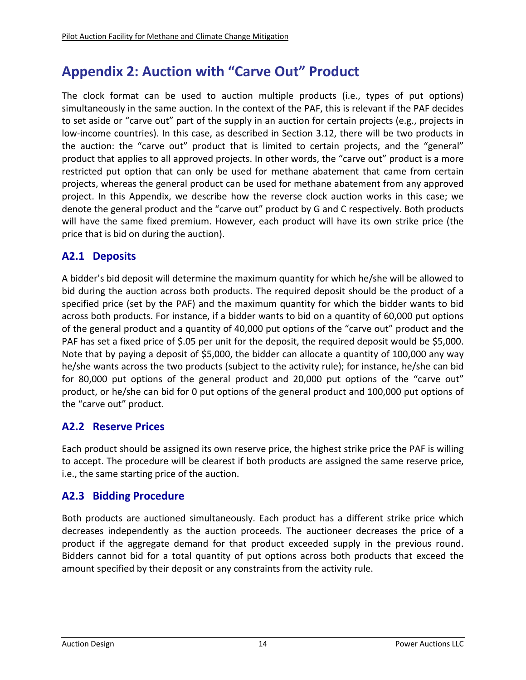# **Appendix 2: Auction with "Carve Out" Product**

The clock format can be used to auction multiple products (i.e., types of put options) simultaneously in the same auction. In the context of the PAF, this is relevant if the PAF decides to set aside or "carve out" part of the supply in an auction for certain projects (e.g., projects in low-income countries). In this case, as described in Section 3.12, there will be two products in the auction: the "carve out" product that is limited to certain projects, and the "general" product that applies to all approved projects. In other words, the "carve out" product is a more restricted put option that can only be used for methane abatement that came from certain projects, whereas the general product can be used for methane abatement from any approved project. In this Appendix, we describe how the reverse clock auction works in this case; we denote the general product and the "carve out" product by G and C respectively. Both products will have the same fixed premium. However, each product will have its own strike price (the price that is bid on during the auction).

# **A2.1 Deposits**

A bidder's bid deposit will determine the maximum quantity for which he/she will be allowed to bid during the auction across both products. The required deposit should be the product of a specified price (set by the PAF) and the maximum quantity for which the bidder wants to bid across both products. For instance, if a bidder wants to bid on a quantity of 60,000 put options of the general product and a quantity of 40,000 put options of the "carve out" product and the PAF has set a fixed price of \$.05 per unit for the deposit, the required deposit would be \$5,000. Note that by paying a deposit of \$5,000, the bidder can allocate a quantity of 100,000 any way he/she wants across the two products (subject to the activity rule); for instance, he/she can bid for 80,000 put options of the general product and 20,000 put options of the "carve out" product, or he/she can bid for 0 put options of the general product and 100,000 put options of the "carve out" product.

# **A2.2 Reserve Prices**

Each product should be assigned its own reserve price, the highest strike price the PAF is willing to accept. The procedure will be clearest if both products are assigned the same reserve price, i.e., the same starting price of the auction.

# **A2.3 Bidding Procedure**

Both products are auctioned simultaneously. Each product has a different strike price which decreases independently as the auction proceeds. The auctioneer decreases the price of a product if the aggregate demand for that product exceeded supply in the previous round. Bidders cannot bid for a total quantity of put options across both products that exceed the amount specified by their deposit or any constraints from the activity rule.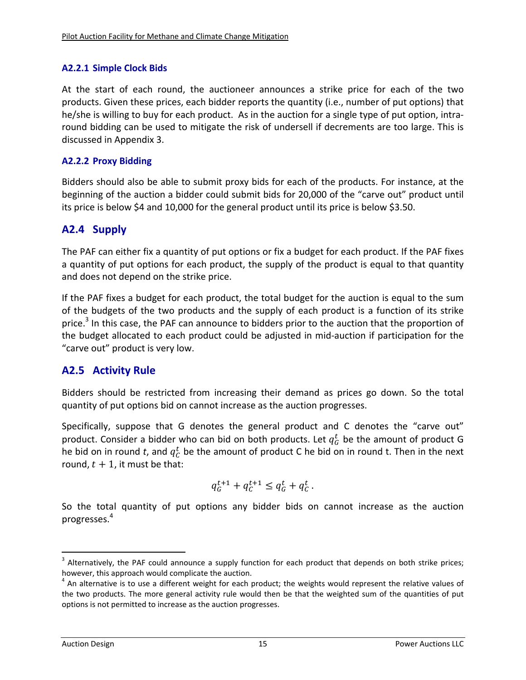#### **A2.2.1 Simple Clock Bids**

At the start of each round, the auctioneer announces a strike price for each of the two products. Given these prices, each bidder reports the quantity (i.e., number of put options) that he/she is willing to buy for each product. As in the auction for a single type of put option, intraround bidding can be used to mitigate the risk of undersell if decrements are too large. This is discussed in Appendix 3.

### **A2.2.2 Proxy Bidding**

Bidders should also be able to submit proxy bids for each of the products. For instance, at the beginning of the auction a bidder could submit bids for 20,000 of the "carve out" product until its price is below \$4 and 10,000 for the general product until its price is below \$3.50.

# **A2.4 Supply**

The PAF can either fix a quantity of put options or fix a budget for each product. If the PAF fixes a quantity of put options for each product, the supply of the product is equal to that quantity and does not depend on the strike price.

If the PAF fixes a budget for each product, the total budget for the auction is equal to the sum of the budgets of the two products and the supply of each product is a function of its strike price.<sup>3</sup> In this case, the PAF can announce to bidders prior to the auction that the proportion of the budget allocated to each product could be adjusted in mid‐auction if participation for the "carve out" product is very low.

# **A2.5 Activity Rule**

Bidders should be restricted from increasing their demand as prices go down. So the total quantity of put options bid on cannot increase as the auction progresses.

Specifically, suppose that G denotes the general product and C denotes the "carve out" product. Consider a bidder who can bid on both products. Let  $q_G^t$  be the amount of product G he bid on in round t, and  $q_{\mathcal{C}}^t$  be the amount of product C he bid on in round t. Then in the next round,  $t + 1$ , it must be that:

$$
q_G^{t+1} + q_C^{t+1} \le q_G^t + q_C^t \, .
$$

So the total quantity of put options any bidder bids on cannot increase as the auction progresses.4

<sup>&</sup>lt;sup>3</sup> Alternatively, the PAF could announce a supply function for each product that depends on both strike prices;

however, this approach would complicate the auction.<br> $4$  An alternative is to use a different weight for each product; the weights would represent the relative values of the two products. The more general activity rule would then be that the weighted sum of the quantities of put options is not permitted to increase as the auction progresses.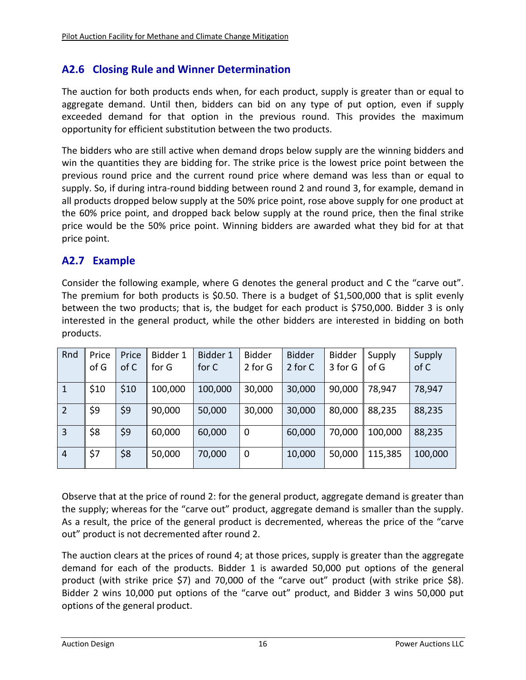# **A2.6 Closing Rule and Winner Determination**

The auction for both products ends when, for each product, supply is greater than or equal to aggregate demand. Until then, bidders can bid on any type of put option, even if supply exceeded demand for that option in the previous round. This provides the maximum opportunity for efficient substitution between the two products.

The bidders who are still active when demand drops below supply are the winning bidders and win the quantities they are bidding for. The strike price is the lowest price point between the previous round price and the current round price where demand was less than or equal to supply. So, if during intra-round bidding between round 2 and round 3, for example, demand in all products dropped below supply at the 50% price point, rose above supply for one product at the 60% price point, and dropped back below supply at the round price, then the final strike price would be the 50% price point. Winning bidders are awarded what they bid for at that price point.

# **A2.7 Example**

Consider the following example, where G denotes the general product and C the "carve out". The premium for both products is \$0.50. There is a budget of \$1,500,000 that is split evenly between the two products; that is, the budget for each product is \$750,000. Bidder 3 is only interested in the general product, while the other bidders are interested in bidding on both products.

| Rnd            | Price | Price | Bidder 1 | Bidder 1 | <b>Bidder</b> | <b>Bidder</b> | <b>Bidder</b> | Supply  | Supply  |
|----------------|-------|-------|----------|----------|---------------|---------------|---------------|---------|---------|
|                | of G  | of C  | for G    | for C    | 2 for G       | 2 for C       | 3 for G       | of G    | of C    |
| $\mathbf{1}$   | \$10  | \$10  | 100,000  | 100,000  | 30,000        | 30,000        | 90,000        | 78,947  | 78,947  |
| 2              | \$9   | \$9   | 90,000   | 50,000   | 30,000        | 30,000        | 80,000        | 88,235  | 88,235  |
| $\overline{3}$ | \$8   | \$9   | 60,000   | 60,000   | $\mathbf 0$   | 60,000        | 70,000        | 100,000 | 88,235  |
| $\overline{4}$ | \$7   | \$8   | 50,000   | 70,000   | $\mathbf 0$   | 10,000        | 50,000        | 115,385 | 100,000 |

Observe that at the price of round 2: for the general product, aggregate demand is greater than the supply; whereas for the "carve out" product, aggregate demand is smaller than the supply. As a result, the price of the general product is decremented, whereas the price of the "carve out" product is not decremented after round 2.

The auction clears at the prices of round 4; at those prices, supply is greater than the aggregate demand for each of the products. Bidder 1 is awarded 50,000 put options of the general product (with strike price \$7) and 70,000 of the "carve out" product (with strike price \$8). Bidder 2 wins 10,000 put options of the "carve out" product, and Bidder 3 wins 50,000 put options of the general product.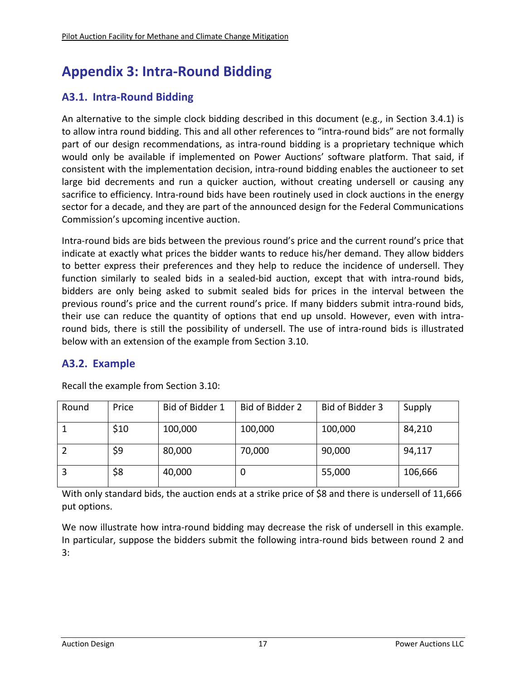# **Appendix 3: Intra‐Round Bidding**

# **A3.1. Intra‐Round Bidding**

An alternative to the simple clock bidding described in this document (e.g., in Section 3.4.1) is to allow intra round bidding. This and all other references to "intra-round bids" are not formally part of our design recommendations, as intra‐round bidding is a proprietary technique which would only be available if implemented on Power Auctions' software platform. That said, if consistent with the implementation decision, intra‐round bidding enables the auctioneer to set large bid decrements and run a quicker auction, without creating undersell or causing any sacrifice to efficiency. Intra-round bids have been routinely used in clock auctions in the energy sector for a decade, and they are part of the announced design for the Federal Communications Commission's upcoming incentive auction.

Intra‐round bids are bids between the previous round's price and the current round's price that indicate at exactly what prices the bidder wants to reduce his/her demand. They allow bidders to better express their preferences and they help to reduce the incidence of undersell. They function similarly to sealed bids in a sealed-bid auction, except that with intra-round bids, bidders are only being asked to submit sealed bids for prices in the interval between the previous round's price and the current round's price. If many bidders submit intra-round bids, their use can reduce the quantity of options that end up unsold. However, even with intra‐ round bids, there is still the possibility of undersell. The use of intra-round bids is illustrated below with an extension of the example from Section 3.10.

# **A3.2. Example**

| Round | Price | Bid of Bidder 1 | Bid of Bidder 2 | Bid of Bidder 3 | Supply  |
|-------|-------|-----------------|-----------------|-----------------|---------|
|       | \$10  | 100,000         | 100,000         | 100,000         | 84,210  |
|       | \$9   | 80,000          | 70,000          | 90,000          | 94,117  |
|       | \$8   | 40,000          | 0               | 55,000          | 106,666 |

Recall the example from Section 3.10:

With only standard bids, the auction ends at a strike price of \$8 and there is undersell of 11,666 put options.

We now illustrate how intra-round bidding may decrease the risk of undersell in this example. In particular, suppose the bidders submit the following intra‐round bids between round 2 and 3: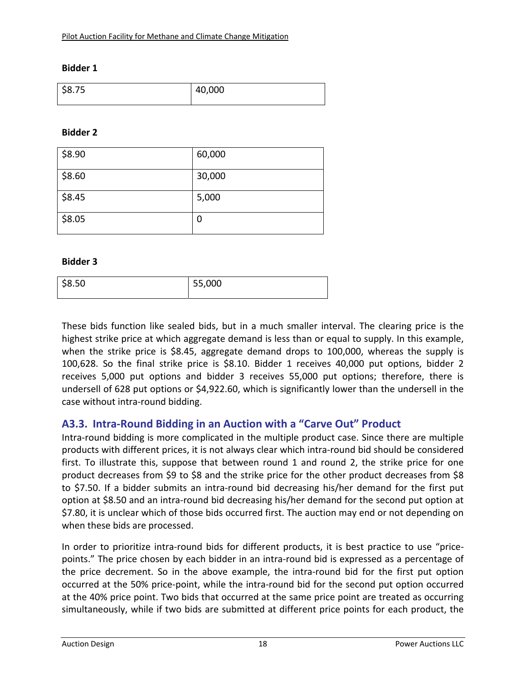#### **Bidder 1**

| --<br>\$8.75 | 40,000 |
|--------------|--------|
|--------------|--------|

#### **Bidder 2**

| \$8.90 | 60,000 |
|--------|--------|
| \$8.60 | 30,000 |
| \$8.45 | 5,000  |
| \$8.05 | 0      |

#### **Bidder 3**

| \$8.50 | 55,000 |  |
|--------|--------|--|

These bids function like sealed bids, but in a much smaller interval. The clearing price is the highest strike price at which aggregate demand is less than or equal to supply. In this example, when the strike price is \$8.45, aggregate demand drops to 100,000, whereas the supply is 100,628. So the final strike price is \$8.10. Bidder 1 receives 40,000 put options, bidder 2 receives 5,000 put options and bidder 3 receives 55,000 put options; therefore, there is undersell of 628 put options or \$4,922.60, which is significantly lower than the undersell in the case without intra‐round bidding.

#### **A3.3. Intra‐Round Bidding in an Auction with a "Carve Out" Product**

Intra‐round bidding is more complicated in the multiple product case. Since there are multiple products with different prices, it is not always clear which intra‐round bid should be considered first. To illustrate this, suppose that between round 1 and round 2, the strike price for one product decreases from \$9 to \$8 and the strike price for the other product decreases from \$8 to \$7.50. If a bidder submits an intra-round bid decreasing his/her demand for the first put option at \$8.50 and an intra‐round bid decreasing his/her demand for the second put option at \$7.80, it is unclear which of those bids occurred first. The auction may end or not depending on when these bids are processed.

In order to prioritize intra-round bids for different products, it is best practice to use "pricepoints." The price chosen by each bidder in an intra‐round bid is expressed as a percentage of the price decrement. So in the above example, the intra-round bid for the first put option occurred at the 50% price‐point, while the intra‐round bid for the second put option occurred at the 40% price point. Two bids that occurred at the same price point are treated as occurring simultaneously, while if two bids are submitted at different price points for each product, the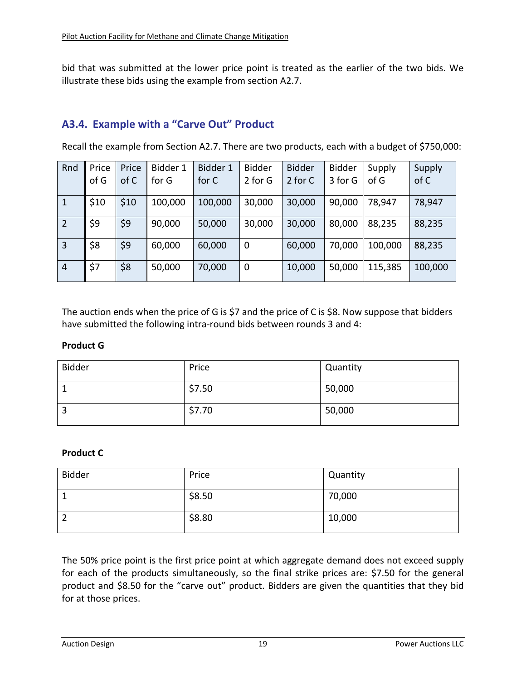bid that was submitted at the lower price point is treated as the earlier of the two bids. We illustrate these bids using the example from section A2.7.

# **A3.4. Example with a "Carve Out" Product**

Recall the example from Section A2.7. There are two products, each with a budget of \$750,000:

| Rnd            | Price | Price | Bidder 1 | Bidder 1 | <b>Bidder</b> | <b>Bidder</b> | <b>Bidder</b> | Supply  | Supply  |
|----------------|-------|-------|----------|----------|---------------|---------------|---------------|---------|---------|
|                | of G  | of C  | for G    | for C    | 2 for G       | 2 for C       | 3 for G       | of G    | of C    |
| $\mathbf{1}$   | \$10  | \$10  | 100,000  | 100,000  | 30,000        | 30,000        | 90,000        | 78,947  | 78,947  |
| $\overline{2}$ | \$9   | \$9   | 90,000   | 50,000   | 30,000        | 30,000        | 80,000        | 88,235  | 88,235  |
| $\overline{3}$ | \$8   | \$9   | 60,000   | 60,000   | $\mathbf 0$   | 60,000        | 70,000        | 100,000 | 88,235  |
| $\overline{4}$ | \$7   | \$8   | 50,000   | 70,000   | $\mathbf 0$   | 10,000        | 50,000        | 115,385 | 100,000 |

The auction ends when the price of G is \$7 and the price of C is \$8. Now suppose that bidders have submitted the following intra-round bids between rounds 3 and 4:

#### **Product G**

| <b>Bidder</b> | Price  | Quantity |
|---------------|--------|----------|
| J.            | \$7.50 | 50,000   |
| ာ<br>Э        | \$7.70 | 50,000   |

#### **Product C**

| <b>Bidder</b> | Price  | Quantity |
|---------------|--------|----------|
|               | \$8.50 | 70,000   |
|               | \$8.80 | 10,000   |

The 50% price point is the first price point at which aggregate demand does not exceed supply for each of the products simultaneously, so the final strike prices are: \$7.50 for the general product and \$8.50 for the "carve out" product. Bidders are given the quantities that they bid for at those prices.